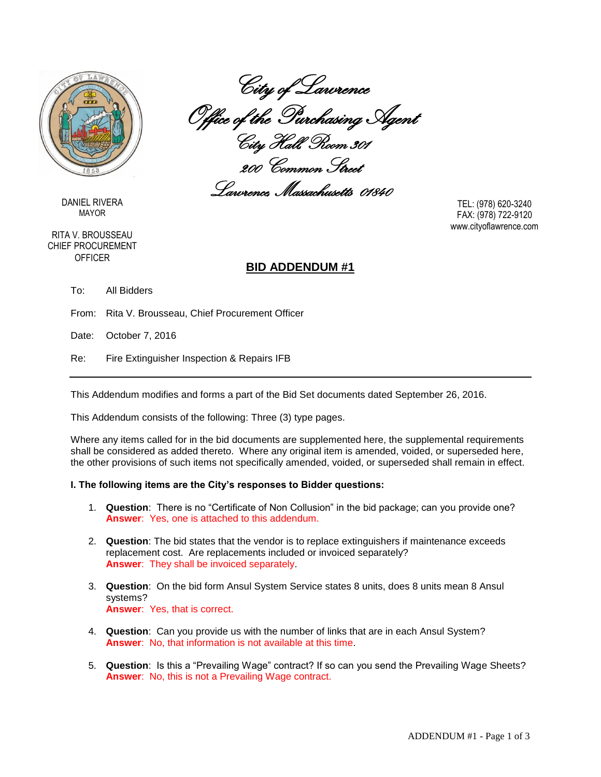

DANIEL RIVERA MAYOR

RITA V. BROUSSEAU CHIEF PROCUREMENT **OFFICER** 

# City of Lawrence Office of the Purchasing Agent City Hall, Room 301

200 Common Street Lawrence, Massachusetts 01840

TEL: (978) 620-3240 FAX: (978) 722-9120 www.cityoflawrence.com

### **BID ADDENDUM #1**

To: All Bidders

From: Rita V. Brousseau, Chief Procurement Officer

Date: October 7, 2016

Re: Fire Extinguisher Inspection & Repairs IFB

This Addendum modifies and forms a part of the Bid Set documents dated September 26, 2016.

This Addendum consists of the following: Three (3) type pages.

Where any items called for in the bid documents are supplemented here, the supplemental requirements shall be considered as added thereto. Where any original item is amended, voided, or superseded here, the other provisions of such items not specifically amended, voided, or superseded shall remain in effect.

#### **I. The following items are the City's responses to Bidder questions:**

- 1. **Question**: There is no "Certificate of Non Collusion" in the bid package; can you provide one? **Answer**: Yes, one is attached to this addendum.
- 2. **Question**: The bid states that the vendor is to replace extinguishers if maintenance exceeds replacement cost. Are replacements included or invoiced separately? **Answer**: They shall be invoiced separately.
- 3. **Question**: On the bid form Ansul System Service states 8 units, does 8 units mean 8 Ansul systems? **Answer**: Yes, that is correct.
- 4. **Question**: Can you provide us with the number of links that are in each Ansul System? **Answer**: No, that information is not available at this time.
- 5. **Question**: Is this a "Prevailing Wage" contract? If so can you send the Prevailing Wage Sheets? **Answer**: No, this is not a Prevailing Wage contract.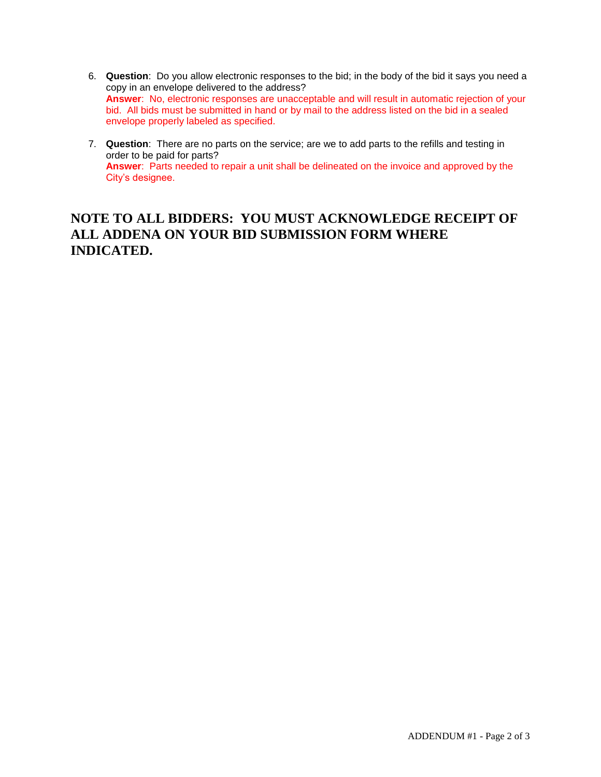- 6. **Question**: Do you allow electronic responses to the bid; in the body of the bid it says you need a copy in an envelope delivered to the address? **Answer**: No, electronic responses are unacceptable and will result in automatic rejection of your bid. All bids must be submitted in hand or by mail to the address listed on the bid in a sealed envelope properly labeled as specified.
- 7. **Question**: There are no parts on the service; are we to add parts to the refills and testing in order to be paid for parts? **Answer**: Parts needed to repair a unit shall be delineated on the invoice and approved by the City's designee.

## **NOTE TO ALL BIDDERS: YOU MUST ACKNOWLEDGE RECEIPT OF ALL ADDENA ON YOUR BID SUBMISSION FORM WHERE INDICATED.**